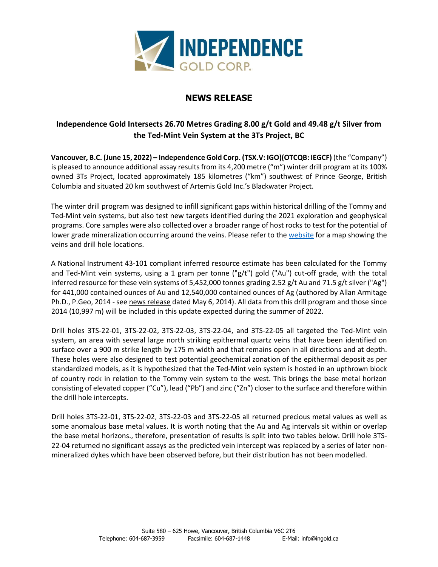

# **NEWS RELEASE**

## **Independence Gold Intersects 26.70 Metres Grading 8.00 g/t Gold and 49.48 g/t Silver from the Ted-Mint Vein System at the 3Ts Project, BC**

**Vancouver, B.C. (June 15, 2022) – Independence Gold Corp. (TSX.V: IGO)(OTCQB: IEGCF)** (the "Company") is pleased to announce additional assay results from its 4,200 metre ("m") winter drill program at its 100% owned 3Ts Project, located approximately 185 kilometres ("km") southwest of Prince George, British Columbia and situated 20 km southwest of Artemis Gold Inc.'s Blackwater Project.

The winter drill program was designed to infill significant gaps within historical drilling of the Tommy and Ted-Mint vein systems, but also test new targets identified during the 2021 exploration and geophysical programs. Core samples were also collected over a broader range of host rocks to test for the potential of lower grade mineralization occurring around the veins. Please refer to th[e website](http://ingold.ca/) for a map showing the veins and drill hole locations.

A National Instrument 43-101 compliant inferred resource estimate has been calculated for the Tommy and Ted-Mint vein systems, using a 1 gram per tonne (" $g/t$ ") gold ("Au") cut-off grade, with the total inferred resource for these vein systems of 5,452,000 tonnes grading 2.52 g/t Au and 71.5 g/t silver ("Ag") for 441,000 contained ounces of Au and 12,540,000 contained ounces of Ag (authored by Allan Armitage Ph.D., P.Geo, 2014 - se[e news release](https://ingold.ca/news/2014/independence-gold-increases-resource-estimate-for-3ts-project-bc) dated May 6, 2014). All data from this drill program and those since 2014 (10,997 m) will be included in this update expected during the summer of 2022.

Drill holes 3TS-22-01, 3TS-22-02, 3TS-22-03, 3TS-22-04, and 3TS-22-05 all targeted the Ted-Mint vein system, an area with several large north striking epithermal quartz veins that have been identified on surface over a 900 m strike length by 175 m width and that remains open in all directions and at depth. These holes were also designed to test potential geochemical zonation of the epithermal deposit as per standardized models, as it is hypothesized that the Ted-Mint vein system is hosted in an upthrown block of country rock in relation to the Tommy vein system to the west. This brings the base metal horizon consisting of elevated copper ("Cu"), lead ("Pb") and zinc ("Zn") closer to the surface and therefore within the drill hole intercepts.

Drill holes 3TS-22-01, 3TS-22-02, 3TS-22-03 and 3TS-22-05 all returned precious metal values as well as some anomalous base metal values. It is worth noting that the Au and Ag intervals sit within or overlap the base metal horizons., therefore, presentation of results is split into two tables below. Drill hole 3TS-22-04 returned no significant assays as the predicted vein intercept was replaced by a series of later nonmineralized dykes which have been observed before, but their distribution has not been modelled.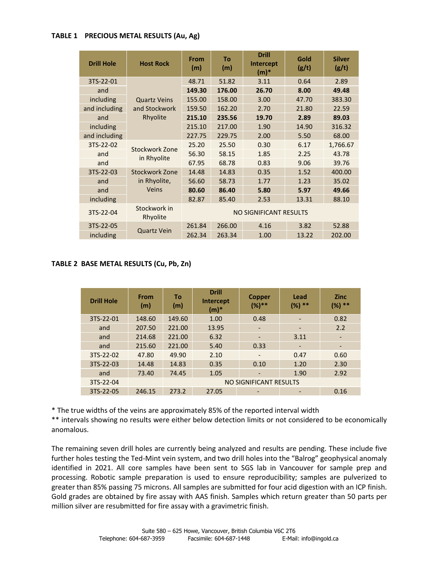### **TABLE 1 PRECIOUS METAL RESULTS (Au, Ag)**

| <b>Drill Hole</b> | <b>Host Rock</b>                                 | From<br>(m)            | To<br>(m) | <b>Drill</b><br>Intercept<br>$(m)*$ | Gold<br>(g/t) | <b>Silver</b><br>(g/t) |  |  |
|-------------------|--------------------------------------------------|------------------------|-----------|-------------------------------------|---------------|------------------------|--|--|
| 3TS-22-01         | <b>Quartz Veins</b><br>and Stockwork<br>Rhyolite | 48.71                  | 51.82     | 3.11                                | 0.64          | 2.89                   |  |  |
| and               |                                                  | 149.30                 | 176.00    | 26.70                               | 8.00          | 49.48                  |  |  |
| including         |                                                  | 155.00                 | 158.00    | 3.00                                | 47.70         | 383.30                 |  |  |
| and including     |                                                  | 159.50                 | 162.20    | 2.70                                | 21.80         | 22.59                  |  |  |
| and               |                                                  | 215.10                 | 235.56    | 19.70                               | 2.89          | 89.03                  |  |  |
| including         |                                                  | 215.10                 | 217.00    | 1.90                                | 14.90         | 316.32                 |  |  |
| and including     |                                                  | 227.75                 | 229.75    | 2.00                                | 5.50          | 68.00                  |  |  |
| 3TS-22-02         | Stockwork Zone                                   | 25.20                  | 25.50     | 0.30                                | 6.17          | 1,766.67               |  |  |
| and               |                                                  | 56.30                  | 58.15     | 1.85                                | 2.25          | 43.78                  |  |  |
| and               | in Rhyolite                                      | 67.95                  | 68.78     | 0.83                                | 9.06          | 39.76                  |  |  |
| 3TS-22-03         | Stockwork Zone<br>in Rhyolite,<br>Veins          | 14.48                  | 14.83     | 0.35                                | 1.52          | 400.00                 |  |  |
| and               |                                                  | 56.60                  | 58.73     | 1.77                                | 1.23          | 35.02                  |  |  |
| and               |                                                  | 80.60                  | 86.40     | 5.80                                | 5.97          | 49.66                  |  |  |
| including         |                                                  | 82.87                  | 85.40     | 2.53                                | 13.31         | 88.10                  |  |  |
| 3TS-22-04         | Stockwork in<br>Rhyolite                         | NO SIGNIFICANT RESULTS |           |                                     |               |                        |  |  |
| 3TS-22-05         |                                                  | 261.84                 | 266.00    | 4.16                                | 3.82          | 52.88                  |  |  |
| including         | <b>Quartz Vein</b>                               | 262.34                 | 263.34    | 1.00                                | 13.22         | 202.00                 |  |  |

## **TABLE 2 BASE METAL RESULTS (Cu, Pb, Zn)**

| <b>Drill Hole</b> | From<br>(m) | Τo<br>(m)              | <b>Drill</b><br>Intercept<br>$(m)*$ | <b>Copper</b><br>$(%)**$ | Lead<br>$***$<br>$(\%)$  | <b>Zinc</b><br>$***$<br>$(\%)$ |  |  |  |
|-------------------|-------------|------------------------|-------------------------------------|--------------------------|--------------------------|--------------------------------|--|--|--|
| 3TS-22-01         | 148.60      | 149.60                 | 1.00                                | 0.48                     | $\overline{\phantom{a}}$ | 0.82                           |  |  |  |
| and               | 207.50      | 221.00                 | 13.95                               |                          |                          | 2.2                            |  |  |  |
| and               | 214.68      | 221.00                 | 6.32                                |                          | 3.11                     |                                |  |  |  |
| and               | 215.60      | 221.00                 | 5.40                                | 0.33                     |                          |                                |  |  |  |
| 3TS-22-02         | 47.80       | 49.90                  | 2.10                                |                          | 0.47                     | 0.60                           |  |  |  |
| 3TS-22-03         | 14.48       | 14.83                  | 0.35                                | 0.10                     | 1.20                     | 2.30                           |  |  |  |
| and               | 73.40       | 74.45                  | 1.05                                | -                        | 1.90                     | 2.92                           |  |  |  |
| 3TS-22-04         |             | NO SIGNIFICANT RESULTS |                                     |                          |                          |                                |  |  |  |
| 3TS-22-05         | 246.15      | 273.2                  | 27.05                               |                          |                          | 0.16                           |  |  |  |

\* The true widths of the veins are approximately 85% of the reported interval width

\*\* intervals showing no results were either below detection limits or not considered to be economically anomalous.

The remaining seven drill holes are currently being analyzed and results are pending. These include five further holes testing the Ted-Mint vein system, and two drill holes into the "Balrog" geophysical anomaly identified in 2021. All core samples have been sent to SGS lab in Vancouver for sample prep and processing. Robotic sample preparation is used to ensure reproducibility; samples are pulverized to greater than 85% passing 75 microns. All samples are submitted for four acid digestion with an ICP finish. Gold grades are obtained by fire assay with AAS finish. Samples which return greater than 50 parts per million silver are resubmitted for fire assay with a gravimetric finish.